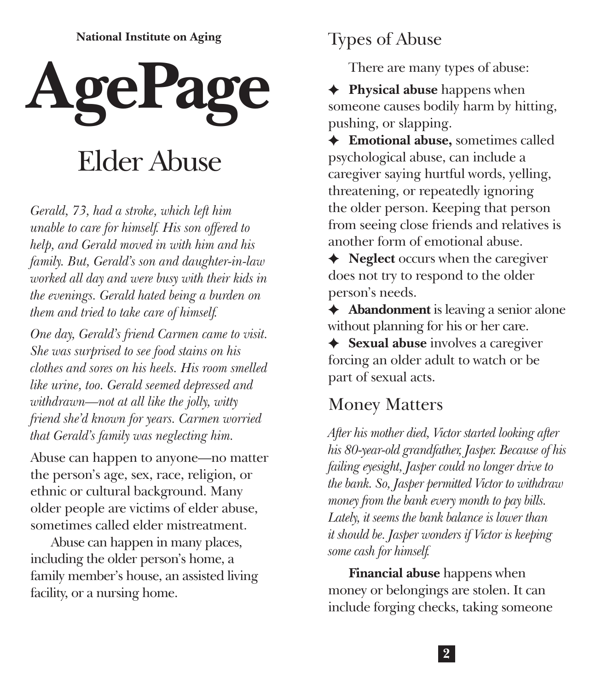**National Institute on Aging**



# Elder Abuse

*Gerald, 73, had a stroke, which left him unable to care for himself. His son offered to help, and Gerald moved in with him and his family. But, Gerald's son and daughter-in-law worked all day and were busy with their kids in the evenings. Gerald hated being a burden on them and tried to take care of himself.*

*One day, Gerald's friend Carmen came to visit. She was surprised to see food stains on his clothes and sores on his heels. His room smelled like urine, too. Gerald seemed depressed and withdrawn—not at all like the jolly, witty friend she'd known for years. Carmen worried that Gerald's family was neglecting him.*

Abuse can happen to anyone—no matter the person's age, sex, race, religion, or ethnic or cultural background. Many older people are victims of elder abuse, sometimes called elder mistreatment.

Abuse can happen in many places, including the older person's [home](https://www.nia.nih.gov/health/publication/theres-no-place-home-growing-old), a family member's house, an assisted living facility, or a [nursing home.](https://www.nia.nih.gov/health/publication/nursing-homes)

# Types of Abuse

There are many types of abuse:

◆ **Physical abuse** happens when someone causes bodily harm by hitting, pushing, or slapping.

**← Emotional abuse, sometimes called** psychological abuse, can include a caregiver saying hurtful words, yelling, threatening, or repeatedly ignoring the older person. Keeping that person from seeing close friends and relatives is another form of emotional abuse.

◆ **Neglect** occurs when the caregiver does not try to respond to the older person's needs.

**← Abandonment** is leaving a senior alone without planning for his or her care.

◆ **Sexual abuse** involves a caregiver forcing an older adult to watch or be part of sexual acts.

# Money Matters

*After his mother died, Victor started looking after his 80-year-old grandfather, Jasper. Because of his failing eyesight, Jasper could no longer drive to the bank. So, Jasper permitted Victor to withdraw money from the bank every month to pay bills. Lately, it seems the bank balance is lower than it should be. Jasper wonders if Victor is keeping some cash for himself.*

**Financial abuse** happens when money or belongings are stolen. It can include forging checks, taking someone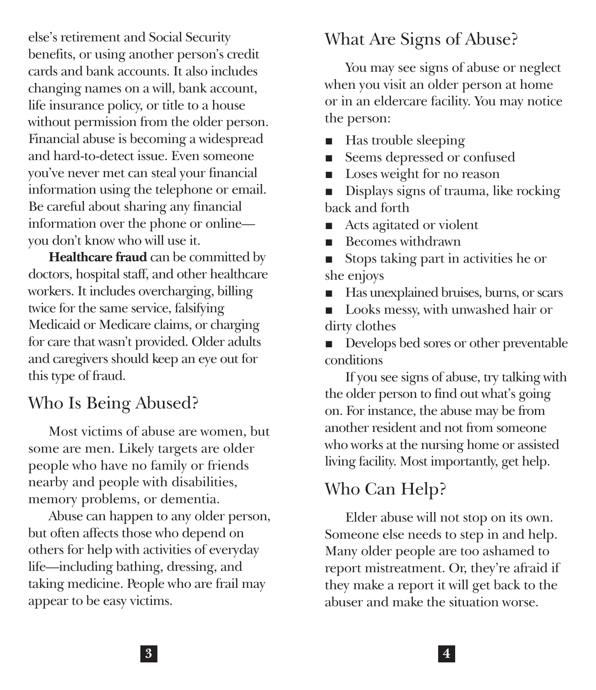else's retirement and Social Security benefits, or using another person's credit cards and bank accounts. It also includes changing names on a will, bank account, life insurance policy, or title to a house without permission from the older person. Financial abuse is becoming a widespread and hard-to-detect issue. Even someone you've never met can steal your financial information using the telephone or email. Be careful about sharing any financial information over the phone or online you don't know who will use it.

**Healthcare fraud** can be committed by doctors, hospital staff, and other healthcare workers. It includes overcharging, billing twice for the same service, falsifying Medicaid or Medicare claims, or charging for care that wasn't provided. Older adults and caregivers should keep an eye out for this type of fraud.

# Who Is Being Abused?

Most victims of abuse are women, but some are men. Likely targets are older people who have no family or friends nearby and people with disabilities, [memory problems](https://www.nia.nih.gov/alzheimers/publication/understanding-memory-loss/introduction), or dementia.

Abuse can happen to any older person, but often affects those who depend on others for help with activities of everyday life—including bathing, dressing, and [taking medicine](https://www.nia.nih.gov/health/publication/safe-use-medicines/introduction). People who are frail may appear to be easy victims.

## What Are Signs of Abuse?

You may see signs of abuse or neglect when you visit an older person at home or in an eldercare facility. You may notice the person:

- Has trouble [sleeping](https://www.nia.nih.gov/health/publication/good-nights-sleep)
- Seems [depressed](http://nihseniorhealth.gov/depression/aboutdepression/01.html) or confused
- Loses weight for no reason

■ Displays signs of trauma, like rocking back and forth

- Acts agitated or violent
- Becomes withdrawn

Stops taking part in activities he or [she enjoys](https://www.nia.nih.gov/health/publication/participating-activities-you-enjoy)

■ Has unexplained bruises, burns, or scars

■ Looks messy, with unwashed hair or dirty clothes

■ Develops bed sores or other preventable conditions

If you see signs of abuse, try talking with the older person to find out what's going on. For instance, the abuse may be from another resident and not from someone who works at the nursing home or assisted living facility. Most importantly, get help.

## Who Can Help?

Elder abuse will not stop on its own. Someone else needs to step in and help. Many older people are too ashamed to report mistreatment. Or, they're afraid if they make a report it will get back to the abuser and make the situation worse.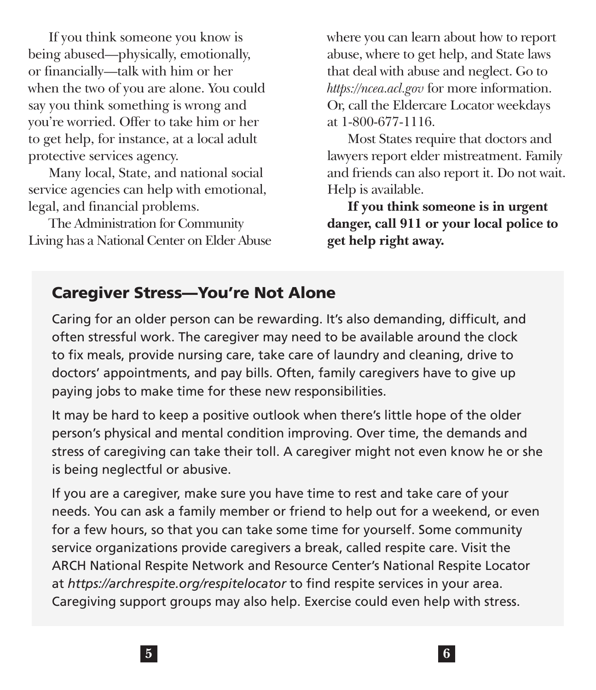If you think someone you know is being abused—physically, emotionally, or financially—talk with him or her when the two of you are alone. You could say you think something is wrong and you're worried. Offer to take him or her to get help, for instance, at a local adult protective services agency.

Many local, State, and national social service agencies can help with emotional, legal, and financial problems.

The Administration for Community Living has a National Center on Elder Abuse where you can learn about how to report abuse, where to get help, and State laws that deal with abuse and neglect. Go to *<https://ncea.acl.gov>* for more information. Or, call the Eldercare Locator weekdays at 1-800-677-1116.

Most States require that doctors and lawyers report elder mistreatment. Family and friends can also report it. Do not wait. Help is available.

**If you think someone is in urgent danger, call 911 or your local police to get help right away.**

#### Caregiver Stress—You're Not Alone

Caring for an older person can be rewarding. It's also demanding, difficult, and often stressful work. The caregiver may need to be available around the clock to fix meals, provide nursing care, take care of laundry and cleaning, drive to doctors' appointments, and pay bills. Often, family caregivers have to give up paying jobs to make time for these new responsibilities.

It may be hard to keep a positive outlook when there's little hope of the older person's physical and mental condition improving. Over time, the demands and stress of caregiving can take their toll. A caregiver might not even know he or she is being neglectful or abusive.

If you are a caregiver, make sure you have time to rest and take care of your needs. You can ask a family member or friend to help out for a weekend, or even for a few hours, so that you can take some time for yourself. Some community service organizations provide caregivers a break, called respite care. Visit the ARCH National Respite Network and Resource Center's National Respite Locator at *https://archrespite.org/respitelocator* to find respite services in your area. Caregiving support groups may also help. [Exercise](https://www.nia.nih.gov/go4life) could even help with stress.

**5 6**